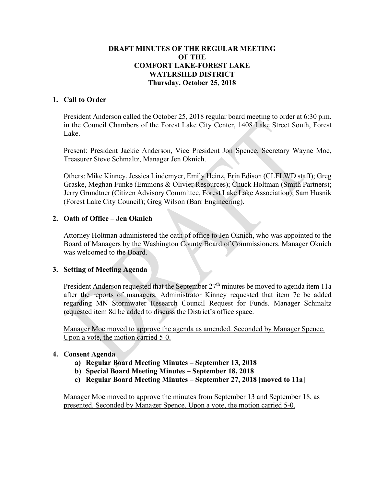# **DRAFT MINUTES OF THE REGULAR MEETING OF THE COMFORT LAKE-FOREST LAKE WATERSHED DISTRICT Thursday, October 25, 2018**

## **1. Call to Order**

President Anderson called the October 25, 2018 regular board meeting to order at 6:30 p.m. in the Council Chambers of the Forest Lake City Center, 1408 Lake Street South, Forest Lake.

Present: President Jackie Anderson, Vice President Jon Spence, Secretary Wayne Moe, Treasurer Steve Schmaltz, Manager Jen Oknich.

Others: Mike Kinney, Jessica Lindemyer, Emily Heinz, Erin Edison (CLFLWD staff); Greg Graske, Meghan Funke (Emmons & Olivier Resources); Chuck Holtman (Smith Partners); Jerry Grundtner (Citizen Advisory Committee, Forest Lake Lake Association); Sam Husnik (Forest Lake City Council); Greg Wilson (Barr Engineering).

## **2. Oath of Office – Jen Oknich**

Attorney Holtman administered the oath of office to Jen Oknich, who was appointed to the Board of Managers by the Washington County Board of Commissioners. Manager Oknich was welcomed to the Board.

### **3. Setting of Meeting Agenda**

President Anderson requested that the September  $27<sup>th</sup>$  minutes be moved to agenda item 11a after the reports of managers. Administrator Kinney requested that item 7c be added regarding MN Stormwater Research Council Request for Funds. Manager Schmaltz requested item 8d be added to discuss the District's office space.

Manager Moe moved to approve the agenda as amended. Seconded by Manager Spence. Upon a vote, the motion carried 5-0.

### **4. Consent Agenda**

- **a) Regular Board Meeting Minutes – September 13, 2018**
- **b) Special Board Meeting Minutes – September 18, 2018**
- **c) Regular Board Meeting Minutes – September 27, 2018 [moved to 11a]**

Manager Moe moved to approve the minutes from September 13 and September 18, as presented. Seconded by Manager Spence. Upon a vote, the motion carried 5-0.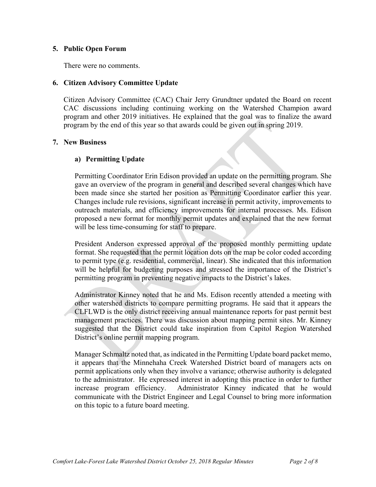## **5. Public Open Forum**

There were no comments.

## **6. Citizen Advisory Committee Update**

Citizen Advisory Committee (CAC) Chair Jerry Grundtner updated the Board on recent CAC discussions including continuing working on the Watershed Champion award program and other 2019 initiatives. He explained that the goal was to finalize the award program by the end of this year so that awards could be given out in spring 2019.

## **7. New Business**

# **a) Permitting Update**

Permitting Coordinator Erin Edison provided an update on the permitting program. She gave an overview of the program in general and described several changes which have been made since she started her position as Permitting Coordinator earlier this year. Changes include rule revisions, significant increase in permit activity, improvements to outreach materials, and efficiency improvements for internal processes. Ms. Edison proposed a new format for monthly permit updates and explained that the new format will be less time-consuming for staff to prepare.

President Anderson expressed approval of the proposed monthly permitting update format. She requested that the permit location dots on the map be color coded according to permit type (e.g. residential, commercial, linear). She indicated that this information will be helpful for budgeting purposes and stressed the importance of the District's permitting program in preventing negative impacts to the District's lakes.

Administrator Kinney noted that he and Ms. Edison recently attended a meeting with other watershed districts to compare permitting programs. He said that it appears the CLFLWD is the only district receiving annual maintenance reports for past permit best management practices. There was discussion about mapping permit sites. Mr. Kinney suggested that the District could take inspiration from Capitol Region Watershed District's online permit mapping program.

Manager Schmaltz noted that, as indicated in the Permitting Update board packet memo, it appears that the Minnehaha Creek Watershed District board of managers acts on permit applications only when they involve a variance; otherwise authority is delegated to the administrator. He expressed interest in adopting this practice in order to further increase program efficiency. Administrator Kinney indicated that he would communicate with the District Engineer and Legal Counsel to bring more information on this topic to a future board meeting.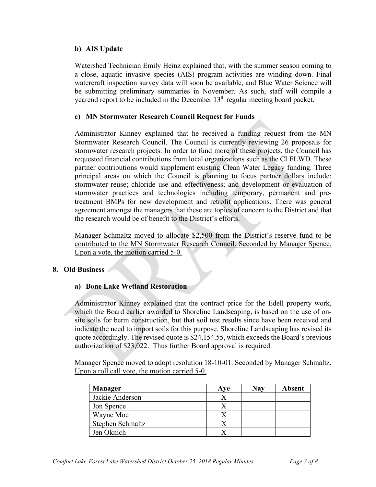## **b) AIS Update**

Watershed Technician Emily Heinz explained that, with the summer season coming to a close, aquatic invasive species (AIS) program activities are winding down. Final watercraft inspection survey data will soon be available, and Blue Water Science will be submitting preliminary summaries in November. As such, staff will compile a yearend report to be included in the December 13<sup>th</sup> regular meeting board packet.

## **c) MN Stormwater Research Council Request for Funds**

Administrator Kinney explained that he received a funding request from the MN Stormwater Research Council. The Council is currently reviewing 26 proposals for stormwater research projects. In order to fund more of these projects, the Council has requested financial contributions from local organizations such as the CLFLWD. These partner contributions would supplement existing Clean Water Legacy funding. Three principal areas on which the Council is planning to focus partner dollars include: stormwater reuse; chloride use and effectiveness; and development or evaluation of stormwater practices and technologies including temporary, permanent and pretreatment BMPs for new development and retrofit applications. There was general agreement amongst the managers that these are topics of concern to the District and that the research would be of benefit to the District's efforts.

Manager Schmaltz moved to allocate \$2,500 from the District's reserve fund to be contributed to the MN Stormwater Research Council. Seconded by Manager Spence. Upon a vote, the motion carried 5-0.

### **8. Old Business**

# **a) Bone Lake Wetland Restoration**

Administrator Kinney explained that the contract price for the Edell property work, which the Board earlier awarded to Shoreline Landscaping, is based on the use of onsite soils for berm construction, but that soil test results since have been received and indicate the need to import soils for this purpose. Shoreline Landscaping has revised its quote accordingly. The revised quote is \$24,154.55, which exceeds the Board's previous authorization of \$23,022. Thus further Board approval is required.

Manager Spence moved to adopt resolution 18-10-01. Seconded by Manager Schmaltz. Upon a roll call vote, the motion carried 5-0.

| <b>Manager</b>   | Ave | <b>Nay</b> | <b>Absent</b> |
|------------------|-----|------------|---------------|
| Jackie Anderson  |     |            |               |
| Jon Spence       |     |            |               |
| Wayne Moe        |     |            |               |
| Stephen Schmaltz |     |            |               |
| Jen Oknich       |     |            |               |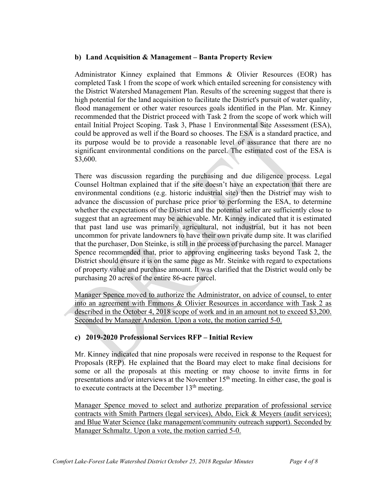### **b) Land Acquisition & Management – Banta Property Review**

Administrator Kinney explained that Emmons & Olivier Resources (EOR) has completed Task 1 from the scope of work which entailed screening for consistency with the District Watershed Management Plan. Results of the screening suggest that there is high potential for the land acquisition to facilitate the District's pursuit of water quality, flood management or other water resources goals identified in the Plan. Mr. Kinney recommended that the District proceed with Task 2 from the scope of work which will entail Initial Project Scoping. Task 3, Phase 1 Environmental Site Assessment (ESA), could be approved as well if the Board so chooses. The ESA is a standard practice, and its purpose would be to provide a reasonable level of assurance that there are no significant environmental conditions on the parcel. The estimated cost of the ESA is \$3,600.

There was discussion regarding the purchasing and due diligence process. Legal Counsel Holtman explained that if the site doesn't have an expectation that there are environmental conditions (e.g. historic industrial site) then the District may wish to advance the discussion of purchase price prior to performing the ESA, to determine whether the expectations of the District and the potential seller are sufficiently close to suggest that an agreement may be achievable. Mr. Kinney indicated that it is estimated that past land use was primarily agricultural, not industrial, but it has not been uncommon for private landowners to have their own private dump site. It was clarified that the purchaser, Don Steinke, is still in the process of purchasing the parcel. Manager Spence recommended that, prior to approving engineering tasks beyond Task 2, the District should ensure it is on the same page as Mr. Steinke with regard to expectations of property value and purchase amount. It was clarified that the District would only be purchasing 20 acres of the entire 86-acre parcel.

Manager Spence moved to authorize the Administrator, on advice of counsel, to enter into an agreement with Emmons & Olivier Resources in accordance with Task 2 as described in the October 4, 2018 scope of work and in an amount not to exceed \$3,200. Seconded by Manager Anderson. Upon a vote, the motion carried 5-0.

# **c) 2019-2020 Professional Services RFP – Initial Review**

Mr. Kinney indicated that nine proposals were received in response to the Request for Proposals (RFP). He explained that the Board may elect to make final decisions for some or all the proposals at this meeting or may choose to invite firms in for presentations and/or interviews at the November 15<sup>th</sup> meeting. In either case, the goal is to execute contracts at the December  $13<sup>th</sup>$  meeting.

Manager Spence moved to select and authorize preparation of professional service contracts with Smith Partners (legal services), Abdo, Eick & Meyers (audit services); and Blue Water Science (lake management/community outreach support). Seconded by Manager Schmaltz. Upon a vote, the motion carried 5-0.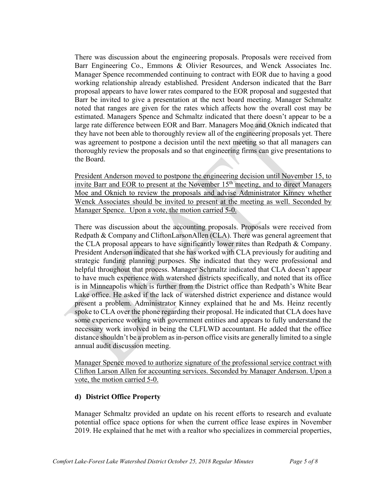There was discussion about the engineering proposals. Proposals were received from Barr Engineering Co., Emmons & Olivier Resources, and Wenck Associates Inc. Manager Spence recommended continuing to contract with EOR due to having a good working relationship already established. President Anderson indicated that the Barr proposal appears to have lower rates compared to the EOR proposal and suggested that Barr be invited to give a presentation at the next board meeting. Manager Schmaltz noted that ranges are given for the rates which affects how the overall cost may be estimated. Managers Spence and Schmaltz indicated that there doesn't appear to be a large rate difference between EOR and Barr. Managers Moe and Oknich indicated that they have not been able to thoroughly review all of the engineering proposals yet. There was agreement to postpone a decision until the next meeting so that all managers can thoroughly review the proposals and so that engineering firms can give presentations to the Board.

President Anderson moved to postpone the engineering decision until November 15, to invite Barr and EOR to present at the November  $15<sup>th</sup>$  meeting, and to direct Managers Moe and Oknich to review the proposals and advise Administrator Kinney whether Wenck Associates should be invited to present at the meeting as well. Seconded by Manager Spence. Upon a vote, the motion carried 5-0.

There was discussion about the accounting proposals. Proposals were received from Redpath & Company and CliftonLarsonAllen (CLA). There was general agreement that the CLA proposal appears to have significantly lower rates than Redpath & Company. President Anderson indicated that she has worked with CLA previously for auditing and strategic funding planning purposes. She indicated that they were professional and helpful throughout that process. Manager Schmaltz indicated that CLA doesn't appear to have much experience with watershed districts specifically, and noted that its office is in Minneapolis which is further from the District office than Redpath's White Bear Lake office. He asked if the lack of watershed district experience and distance would present a problem. Administrator Kinney explained that he and Ms. Heinz recently spoke to CLA over the phone regarding their proposal. He indicated that CLA does have some experience working with government entities and appears to fully understand the necessary work involved in being the CLFLWD accountant. He added that the office distance shouldn't be a problem as in-person office visits are generally limited to a single annual audit discussion meeting.

Manager Spence moved to authorize signature of the professional service contract with Clifton Larson Allen for accounting services. Seconded by Manager Anderson. Upon a vote, the motion carried 5-0.

### **d) District Office Property**

Manager Schmaltz provided an update on his recent efforts to research and evaluate potential office space options for when the current office lease expires in November 2019. He explained that he met with a realtor who specializes in commercial properties,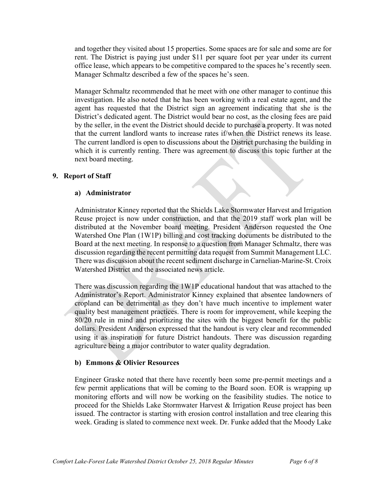and together they visited about 15 properties. Some spaces are for sale and some are for rent. The District is paying just under \$11 per square foot per year under its current office lease, which appears to be competitive compared to the spaces he's recently seen. Manager Schmaltz described a few of the spaces he's seen.

Manager Schmaltz recommended that he meet with one other manager to continue this investigation. He also noted that he has been working with a real estate agent, and the agent has requested that the District sign an agreement indicating that she is the District's dedicated agent. The District would bear no cost, as the closing fees are paid by the seller, in the event the District should decide to purchase a property. It was noted that the current landlord wants to increase rates if/when the District renews its lease. The current landlord is open to discussions about the District purchasing the building in which it is currently renting. There was agreement to discuss this topic further at the next board meeting.

### **9. Report of Staff**

### **a) Administrator**

Administrator Kinney reported that the Shields Lake Stormwater Harvest and Irrigation Reuse project is now under construction, and that the 2019 staff work plan will be distributed at the November board meeting. President Anderson requested the One Watershed One Plan (1W1P) billing and cost tracking documents be distributed to the Board at the next meeting. In response to a question from Manager Schmaltz, there was discussion regarding the recent permitting data request from Summit Management LLC. There was discussion about the recent sediment discharge in Carnelian-Marine-St. Croix Watershed District and the associated news article.

There was discussion regarding the 1W1P educational handout that was attached to the Administrator's Report. Administrator Kinney explained that absentee landowners of cropland can be detrimental as they don't have much incentive to implement water quality best management practices. There is room for improvement, while keeping the 80/20 rule in mind and prioritizing the sites with the biggest benefit for the public dollars. President Anderson expressed that the handout is very clear and recommended using it as inspiration for future District handouts. There was discussion regarding agriculture being a major contributor to water quality degradation.

### **b) Emmons & Olivier Resources**

Engineer Graske noted that there have recently been some pre-permit meetings and a few permit applications that will be coming to the Board soon. EOR is wrapping up monitoring efforts and will now be working on the feasibility studies. The notice to proceed for the Shields Lake Stormwater Harvest & Irrigation Reuse project has been issued. The contractor is starting with erosion control installation and tree clearing this week. Grading is slated to commence next week. Dr. Funke added that the Moody Lake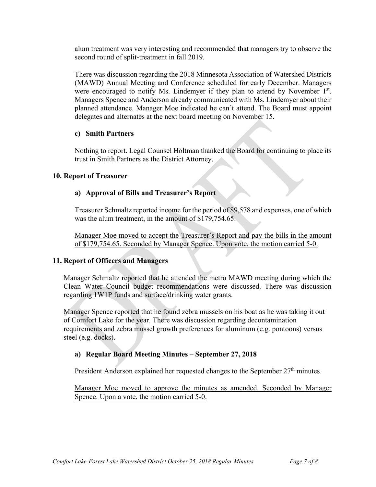alum treatment was very interesting and recommended that managers try to observe the second round of split-treatment in fall 2019.

There was discussion regarding the 2018 Minnesota Association of Watershed Districts (MAWD) Annual Meeting and Conference scheduled for early December. Managers were encouraged to notify Ms. Lindemyer if they plan to attend by November 1<sup>st</sup>. Managers Spence and Anderson already communicated with Ms. Lindemyer about their planned attendance. Manager Moe indicated he can't attend. The Board must appoint delegates and alternates at the next board meeting on November 15.

### **c) Smith Partners**

Nothing to report. Legal Counsel Holtman thanked the Board for continuing to place its trust in Smith Partners as the District Attorney.

### **10. Report of Treasurer**

# **a) Approval of Bills and Treasurer's Report**

Treasurer Schmaltz reported income for the period of \$9,578 and expenses, one of which was the alum treatment, in the amount of \$179,754.65.

Manager Moe moved to accept the Treasurer's Report and pay the bills in the amount of \$179,754.65. Seconded by Manager Spence. Upon vote, the motion carried 5-0.

# **11. Report of Officers and Managers**

Manager Schmaltz reported that he attended the metro MAWD meeting during which the Clean Water Council budget recommendations were discussed. There was discussion regarding 1W1P funds and surface/drinking water grants.

Manager Spence reported that he found zebra mussels on his boat as he was taking it out of Comfort Lake for the year. There was discussion regarding decontamination requirements and zebra mussel growth preferences for aluminum (e.g. pontoons) versus steel (e.g. docks).

# **a) Regular Board Meeting Minutes – September 27, 2018**

President Anderson explained her requested changes to the September 27<sup>th</sup> minutes.

Manager Moe moved to approve the minutes as amended. Seconded by Manager Spence. Upon a vote, the motion carried 5-0.